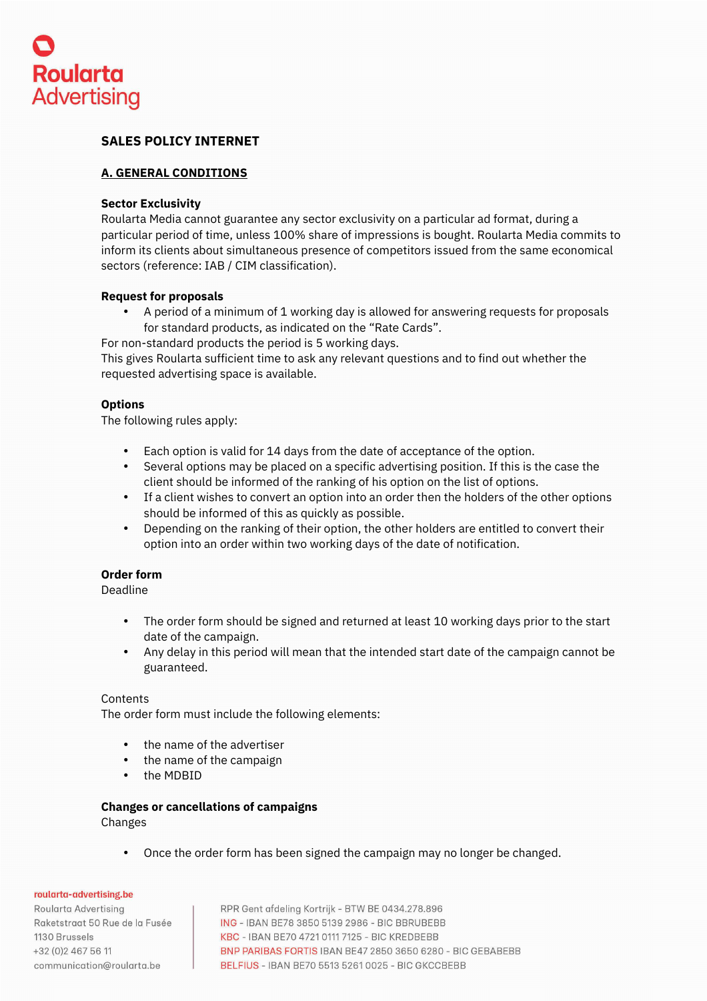

# **SALES POLICY INTERNET**

## **A. GENERAL CONDITIONS**

### **Sector Exclusivity**

Roularta Media cannot guarantee any sector exclusivity on a particular ad format, during a particular period of time, unless 100% share of impressions is bought. Roularta Media commits to inform its clients about simultaneous presence of competitors issued from the same economical sectors (reference: IAB / CIM classification).

### **Request for proposals**

- A period of a minimum of 1 working day is allowed for answering requests for proposals for standard products, as indicated on the "Rate Cards".
- For non-standard products the period is 5 working days.

This gives Roularta sufficient time to ask any relevant questions and to find out whether the requested advertising space is available.

## **Options**

The following rules apply:

- Each option is valid for 14 days from the date of acceptance of the option.
- Several options may be placed on a specific advertising position. If this is the case the client should be informed of the ranking of his option on the list of options.
- If a client wishes to convert an option into an order then the holders of the other options should be informed of this as quickly as possible.
- Depending on the ranking of their option, the other holders are entitled to convert their option into an order within two working days of the date of notification.

## **Order form**

Deadline

- The order form should be signed and returned at least 10 working days prior to the start date of the campaign.
- Any delay in this period will mean that the intended start date of the campaign cannot be guaranteed.

#### Contents

The order form must include the following elements:

- the name of the advertiser
- the name of the campaign
- the MDBID

#### **Changes or cancellations of campaigns**  Changes

• Once the order form has been signed the campaign may no longer be changed.

roularta-advertising.be

Roularta Advertisina Raketstraat 50 Rue de la Fusée 1130 Brussels +32 (0) 2 467 56 11 communication@roularta.be

RPR Gent afdeling Kortrijk - BTW BE 0434.278.896 ING - IBAN BE78 3850 5139 2986 - BIC BBRUBEBB KBC - IBAN BE70 4721 0111 7125 - BIC KREDBEBB BNP PARIBAS FORTIS IBAN BE47 2850 3650 6280 - BIC GEBABEBB BELFIUS - IBAN BE70 5513 5261 0025 - BIC GKCCBEBB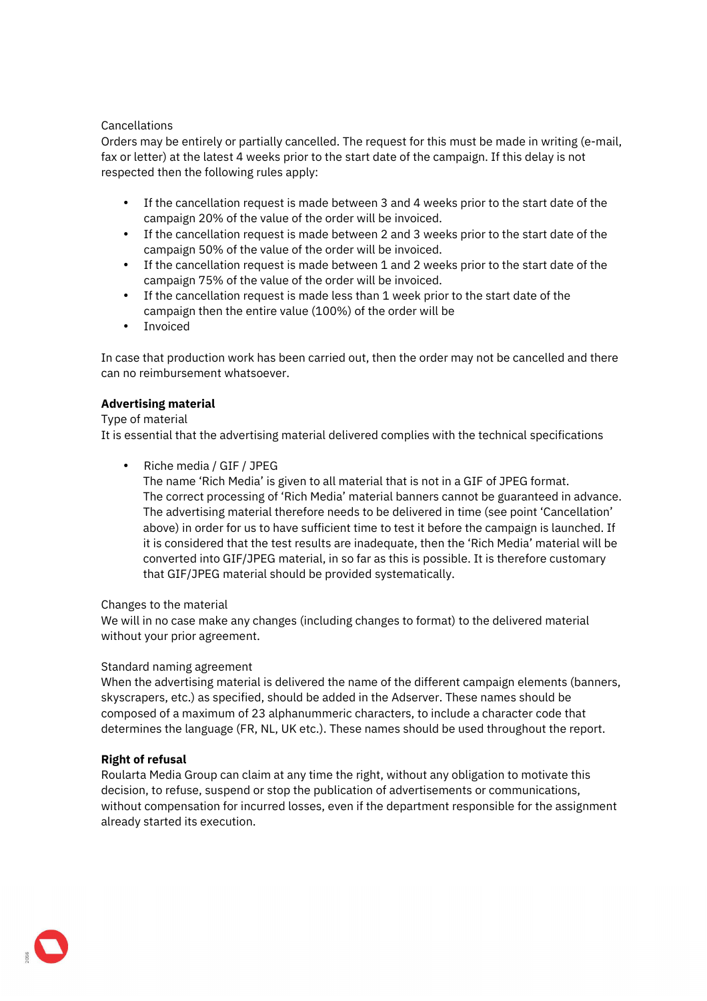## Cancellations

Orders may be entirely or partially cancelled. The request for this must be made in writing (e-mail, fax or letter) at the latest 4 weeks prior to the start date of the campaign. If this delay is not respected then the following rules apply:

- If the cancellation request is made between 3 and 4 weeks prior to the start date of the campaign 20% of the value of the order will be invoiced.
- If the cancellation request is made between 2 and 3 weeks prior to the start date of the campaign 50% of the value of the order will be invoiced.
- If the cancellation request is made between 1 and 2 weeks prior to the start date of the campaign 75% of the value of the order will be invoiced.
- If the cancellation request is made less than 1 week prior to the start date of the campaign then the entire value (100%) of the order will be
- Invoiced

In case that production work has been carried out, then the order may not be cancelled and there can no reimbursement whatsoever.

## **Advertising material**

### Type of material

It is essential that the advertising material delivered complies with the technical specifications

• Riche media / GIF / JPEG

The name 'Rich Media' is given to all material that is not in a GIF of JPEG format. The correct processing of 'Rich Media' material banners cannot be guaranteed in advance. The advertising material therefore needs to be delivered in time (see point 'Cancellation' above) in order for us to have sufficient time to test it before the campaign is launched. If it is considered that the test results are inadequate, then the 'Rich Media' material will be converted into GIF/JPEG material, in so far as this is possible. It is therefore customary that GIF/JPEG material should be provided systematically.

## Changes to the material

We will in no case make any changes (including changes to format) to the delivered material without your prior agreement.

## Standard naming agreement

When the advertising material is delivered the name of the different campaign elements (banners, skyscrapers, etc.) as specified, should be added in the Adserver. These names should be composed of a maximum of 23 alphanummeric characters, to include a character code that determines the language (FR, NL, UK etc.). These names should be used throughout the report.

## **Right of refusal**

Roularta Media Group can claim at any time the right, without any obligation to motivate this decision, to refuse, suspend or stop the publication of advertisements or communications, without compensation for incurred losses, even if the department responsible for the assignment already started its execution.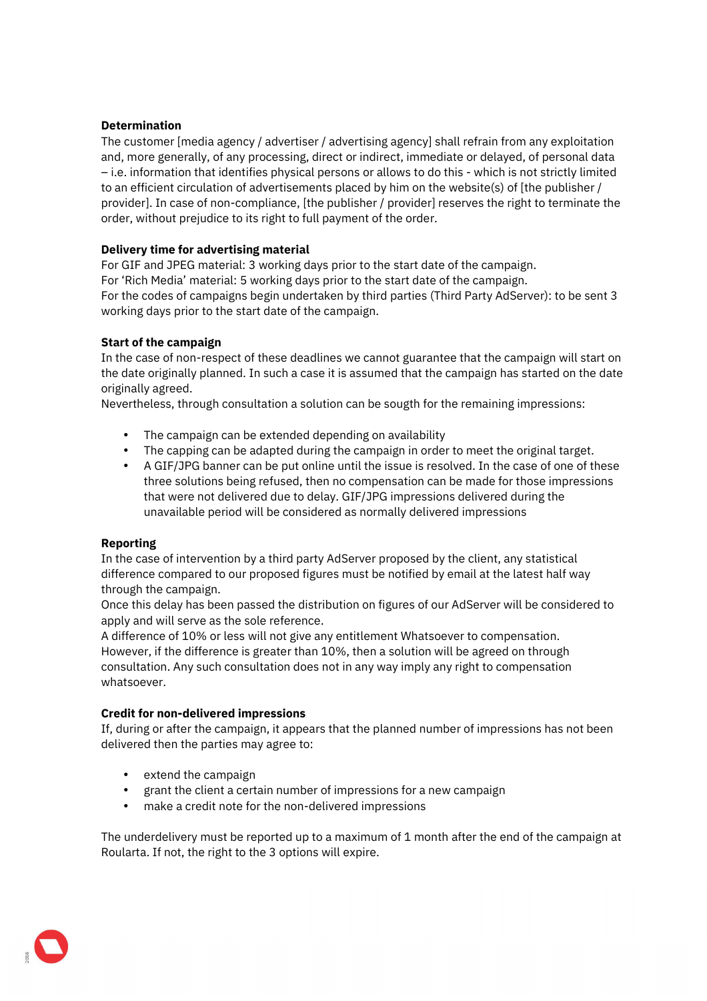## **Determination**

The customer [media agency / advertiser / advertising agency] shall refrain from any exploitation and, more generally, of any processing, direct or indirect, immediate or delayed, of personal data – i.e. information that identifies physical persons or allows to do this - which is not strictly limited to an efficient circulation of advertisements placed by him on the website(s) of [the publisher / provider]. In case of non-compliance, [the publisher / provider] reserves the right to terminate the order, without prejudice to its right to full payment of the order.

## **Delivery time for advertising material**

For GIF and JPEG material: 3 working days prior to the start date of the campaign. For 'Rich Media' material: 5 working days prior to the start date of the campaign. For the codes of campaigns begin undertaken by third parties (Third Party AdServer): to be sent 3 working days prior to the start date of the campaign.

## **Start of the campaign**

In the case of non-respect of these deadlines we cannot guarantee that the campaign will start on the date originally planned. In such a case it is assumed that the campaign has started on the date originally agreed.

Nevertheless, through consultation a solution can be sougth for the remaining impressions:

- The campaign can be extended depending on availability
- The capping can be adapted during the campaign in order to meet the original target.
- A GIF/JPG banner can be put online until the issue is resolved. In the case of one of these three solutions being refused, then no compensation can be made for those impressions that were not delivered due to delay. GIF/JPG impressions delivered during the unavailable period will be considered as normally delivered impressions

## **Reporting**

In the case of intervention by a third party AdServer proposed by the client, any statistical difference compared to our proposed figures must be notified by email at the latest half way through the campaign.

Once this delay has been passed the distribution on figures of our AdServer will be considered to apply and will serve as the sole reference.

A difference of 10% or less will not give any entitlement Whatsoever to compensation. However, if the difference is greater than 10%, then a solution will be agreed on through consultation. Any such consultation does not in any way imply any right to compensation whatsoever.

## **Credit for non-delivered impressions**

If, during or after the campaign, it appears that the planned number of impressions has not been delivered then the parties may agree to:

- extend the campaign
- grant the client a certain number of impressions for a new campaign
- make a credit note for the non-delivered impressions

The underdelivery must be reported up to a maximum of 1 month after the end of the campaign at Roularta. If not, the right to the 3 options will expire.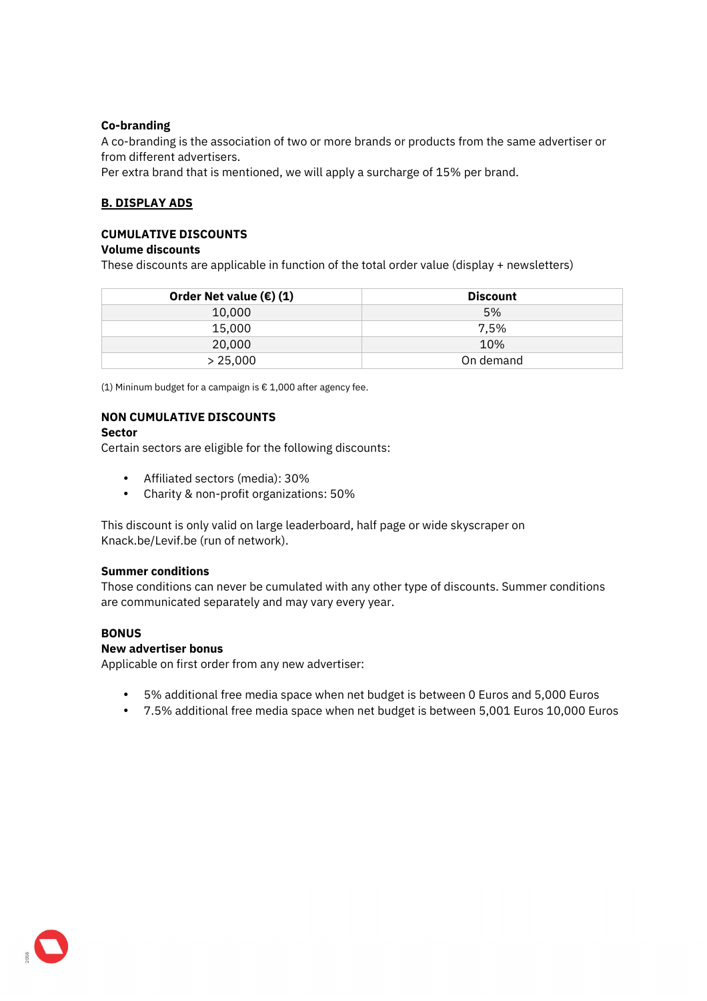## **Co-branding**

A co-branding is the association of two or more brands or products from the same advertiser or from different advertisers.

Per extra brand that is mentioned, we will apply a surcharge of 15% per brand.

## **B. DISPLAY ADS**

## **CUMULATIVE DISCOUNTS**

### **Volume discounts**

These discounts are applicable in function of the total order value (display + newsletters)

| Order Net value $(\epsilon)$ (1) | <b>Discount</b> |
|----------------------------------|-----------------|
| 10,000                           | 5%              |
| 15,000                           | 7.5%            |
| 20,000                           | 10%             |
| > 25,000                         | On demand       |

(1) Mininum budget for a campaign is € 1,000 after agency fee.

## **NON CUMULATIVE DISCOUNTS**

### **Sector**

Certain sectors are eligible for the following discounts:

- Affiliated sectors (media): 30%
- Charity & non-profit organizations: 50%

This discount is only valid on large leaderboard, half page or wide skyscraper on Knack.be/Levif.be (run of network).

#### **Summer conditions**

Those conditions can never be cumulated with any other type of discounts. Summer conditions are communicated separately and may vary every year.

## **BONUS**

## **New advertiser bonus**

Applicable on first order from any new advertiser:

- 5% additional free media space when net budget is between 0 Euros and 5,000 Euros
- 7.5% additional free media space when net budget is between 5,001 Euros 10,000 Euros